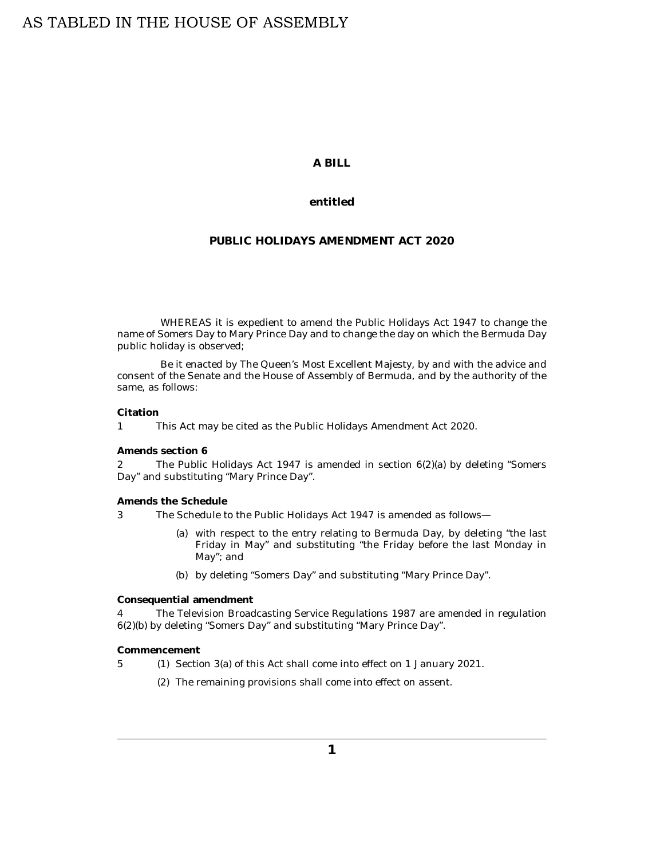# **A BILL**

## **entitled**

# **PUBLIC HOLIDAYS AMENDMENT ACT 2020**

WHEREAS it is expedient to amend the Public Holidays Act 1947 to change the name of Somers Day to Mary Prince Day and to change the day on which the Bermuda Day public holiday is observed;

Be it enacted by The Queen's Most Excellent Majesty, by and with the advice and consent of the Senate and the House of Assembly of Bermuda, and by the authority of the same, as follows:

#### **Citation**

This Act may be cited as the Public Holidays Amendment Act 2020. 1

#### **Amends section 6**

The Public Holidays Act 1947 is amended in section 6(2)(a) by deleting "Somers Day" and substituting "Mary Prince Day". 2

**Amends the Schedule**

The Schedule to the Public Holidays Act 1947 is amended as follows— 3

- with respect to the entry relating to Bermuda Day, by deleting "the last (a) Friday in May" and substituting "the Friday before the last Monday in May"; and
- by deleting "Somers Day" and substituting "Mary Prince Day". (b)

**Consequential amendment**

The Television Broadcasting Service Regulations 1987 are amended in regulation 6(2)(b) by deleting "Somers Day" and substituting "Mary Prince Day". 4

**Commencement**

- 5 (1) Section 3(a) of this Act shall come into effect on 1 January 2021.
	- (2) The remaining provisions shall come into effect on assent.